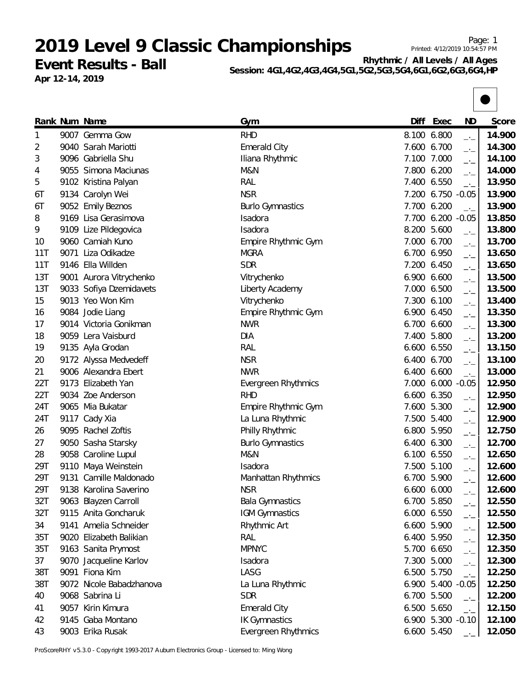**Event Results - Ball Apr 12-14, 2019**

**Rhythmic / All Levels / All Ages Session: 4G1,4G2,4G3,4G4,5G1,5G2,5G3,5G4,6G1,6G2,6G3,6G4,HP**



|     | Rank Num Name            | Gym                     | Diff        | Exec              | <b>ND</b>                | Score  |
|-----|--------------------------|-------------------------|-------------|-------------------|--------------------------|--------|
| 1   | 9007 Gemma Gow           | <b>RHD</b>              | 8.100       | 6.800             | $-1$                     | 14.900 |
| 2   | 9040 Sarah Mariotti      | <b>Emerald City</b>     |             | 7.600 6.700       | $-1$                     | 14.300 |
| 3   | 9096 Gabriella Shu       | Iliana Rhythmic         |             | 7.100 7.000       | $-1$                     | 14.100 |
| 4   | 9055 Simona Maciunas     | M&N                     |             | 7.800 6.200       | $-$                      | 14.000 |
| 5   | 9102 Kristina Palyan     | <b>RAL</b>              |             | 7.400 6.550       | $\rightarrow$            | 13.950 |
| 6T  | 9134 Carolyn Wei         | <b>NSR</b>              |             | 7.200 6.750 -0.05 |                          | 13.900 |
| 6T  | 9052 Emily Beznos        | <b>Burlo Gymnastics</b> |             | 7.700 6.200       | $\overline{\phantom{a}}$ | 13.900 |
| 8   | 9169 Lisa Gerasimova     | Isadora                 |             | 7.700 6.200       | $-0.05$                  | 13.850 |
| 9   | 9109 Lize Pildegovica    | Isadora                 |             | 8.200 5.600       | $-1$                     | 13.800 |
| 10  | 9060 Camiah Kuno         | Empire Rhythmic Gym     | 7.000       | 6.700             | $-1$                     | 13.700 |
| 11T | 9071 Liza Odikadze       | <b>MGRA</b>             |             | 6.700 6.950       | $-1$                     | 13.650 |
| 11T | 9146 Ella Willden        | <b>SDR</b>              |             | 7.200 6.450       | $\overline{\phantom{a}}$ | 13.650 |
| 13T | 9001 Aurora Vitrychenko  | Vitrychenko             |             | 6.900 6.600       | $ -$                     | 13.500 |
| 13T | 9033 Sofiya Dzemidavets  | Liberty Academy         | 7.000       | 6.500             | $-1$                     | 13.500 |
| 15  | 9013 Yeo Won Kim         | Vitrychenko             | 7.300 6.100 |                   | $-1$                     | 13.400 |
| 16  | 9084 Jodie Liang         | Empire Rhythmic Gym     |             | 6.900 6.450       | $-1$                     | 13.350 |
| 17  | 9014 Victoria Gonikman   | <b>NWR</b>              |             | 6.700 6.600       | $ -$                     | 13.300 |
| 18  | 9059 Lera Vaisburd       | <b>DIA</b>              |             | 7.400 5.800       | $-1$                     | 13.200 |
| 19  | 9135 Ayla Grodan         | <b>RAL</b>              |             | 6.600 6.550       | $\overline{\phantom{a}}$ | 13.150 |
| 20  | 9172 Alyssa Medvedeff    | <b>NSR</b>              |             | 6.400 6.700       | $-1$                     | 13.100 |
| 21  | 9006 Alexandra Ebert     | <b>NWR</b>              |             | 6.400 6.600       | $-1$                     | 13.000 |
| 22T | 9173 Elizabeth Yan       | Evergreen Rhythmics     |             | 7.000 6.000       | $-0.05$                  | 12.950 |
| 22T | 9034 Zoe Anderson        | <b>RHD</b>              |             | 6.600 6.350       | $-1$                     | 12.950 |
| 24T | 9065 Mia Bukatar         | Empire Rhythmic Gym     |             | 7.600 5.300       | $-1$                     | 12.900 |
| 24T | 9117 Cady Xia            | La Luna Rhythmic        |             | 7.500 5.400       | $-1$                     | 12.900 |
| 26  | 9095 Rachel Zoftis       | Philly Rhythmic         |             | 6.800 5.950       | $-1$                     | 12.750 |
| 27  | 9050 Sasha Starsky       | <b>Burlo Gymnastics</b> | 6.400       | 6.300             | $-$                      | 12.700 |
| 28  | 9058 Caroline Lupul      | M&N                     |             | 6.100 6.550       | $ -$                     | 12.650 |
| 29T | 9110 Maya Weinstein      | Isadora                 |             | 7.500 5.100       | $-1$                     | 12.600 |
| 29T | 9131 Camille Maldonado   | Manhattan Rhythmics     | 6.700 5.900 |                   | $ -$                     | 12.600 |
| 29T | 9138 Karolina Saverino   | <b>NSR</b>              | 6.600 6.000 |                   | $-1$                     | 12.600 |
| 32T | 9063 Blayzen Carroll     | <b>Bala Gymnastics</b>  |             | 6.700 5.850       | —'—                      | 12.550 |
| 32T | 9115 Anita Goncharuk     | <b>IGM Gymnastics</b>   |             | 6.000 6.550       | $-1$                     | 12.550 |
| 34  | 9141 Amelia Schneider    | Rhythmic Art            |             | 6.600 5.900       | $-1$                     | 12.500 |
| 35T | 9020 Elizabeth Balikian  | RAL                     |             | 6.400 5.950       | — <sup>.</sup> —         | 12.350 |
| 35T | 9163 Sanita Prymost      | <b>MPNYC</b>            |             | 5.700 6.650       | $-1$                     | 12.350 |
| 37  | 9070 Jacqueline Karlov   | Isadora                 |             | 7.300 5.000       | —'—                      | 12.300 |
| 38T | 9091 Fiona Kim           | LASG                    |             | 6.500 5.750       | $-1$                     | 12.250 |
| 38T | 9072 Nicole Babadzhanova | La Luna Rhythmic        |             | 6.900 5.400 -0.05 |                          | 12.250 |
| 40  | 9068 Sabrina Li          | <b>SDR</b>              |             | 6.700 5.500       | $\overline{\phantom{a}}$ | 12.200 |
| 41  | 9057 Kirin Kimura        | <b>Emerald City</b>     |             | 6.500 5.650       | $ -$                     | 12.150 |
| 42  | 9145 Gaba Montano        | <b>IK Gymnastics</b>    |             | 6.900 5.300 -0.10 |                          | 12.100 |
| 43  | 9003 Erika Rusak         | Evergreen Rhythmics     |             | 6.600 5.450       |                          | 12.050 |

ProScoreRHY v5.3.0 - Copyright 1993-2017 Auburn Electronics Group - Licensed to: Ming Wong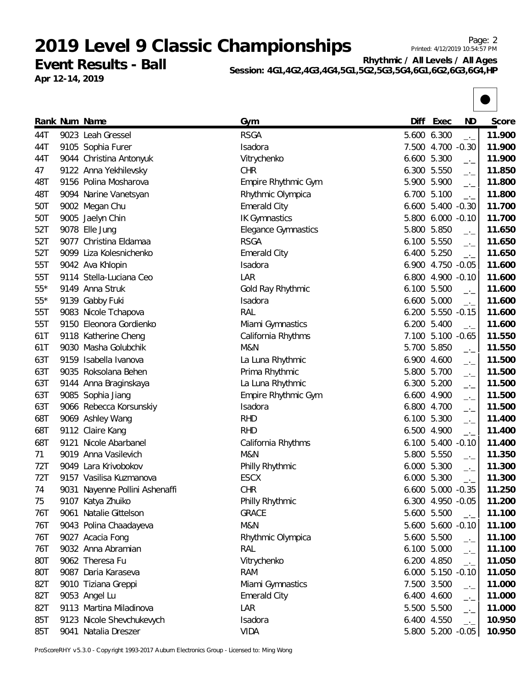**Event Results - Ball Apr 12-14, 2019**

**Rhythmic / All Levels / All Ages Session: 4G1,4G2,4G3,4G4,5G1,5G2,5G3,5G4,6G1,6G2,6G3,6G4,HP**



|       | Rank Num Name                  | Gym                        | Diff | Exec              | <b>ND</b>                   | Score  |
|-------|--------------------------------|----------------------------|------|-------------------|-----------------------------|--------|
| 44T   | 9023 Leah Gressel              | <b>RSGA</b>                |      | 5.600 6.300       | $\overline{\phantom{a}}$    | 11.900 |
| 44T   | 9105 Sophia Furer              | Isadora                    |      | 7.500 4.700 -0.30 |                             | 11.900 |
| 44T   | 9044 Christina Antonyuk        | Vitrychenko                |      | 6.600 5.300       | $\rightarrow$ $\rightarrow$ | 11.900 |
| 47    | 9122 Anna Yekhilevsky          | <b>CHR</b>                 |      | 6.300 5.550       | $-1$                        | 11.850 |
| 48T   | 9156 Polina Mosharova          | Empire Rhythmic Gym        |      | 5.900 5.900       | $-$                         | 11.800 |
| 48T   | 9094 Narine Vanetsyan          | Rhythmic Olympica          |      | 6.700 5.100       | $\overline{\phantom{a}}$    | 11.800 |
| 50T   | 9002 Megan Chu                 | <b>Emerald City</b>        |      | 6.600 5.400 -0.30 |                             | 11.700 |
| 50T   | 9005 Jaelyn Chin               | <b>IK Gymnastics</b>       |      | 5.800 6.000 -0.10 |                             | 11.700 |
| 52T   | 9078 Elle Jung                 | <b>Elegance Gymnastics</b> |      | 5.800 5.850       | $-1$                        | 11.650 |
| 52T   | 9077 Christina Eldamaa         | <b>RSGA</b>                |      | 6.100 5.550       | $\Box$                      | 11.650 |
| 52T   | 9099 Liza Kolesnichenko        | <b>Emerald City</b>        |      | 6.400 5.250       | $\rightarrow$ $\rightarrow$ | 11.650 |
| 55T   | 9042 Ava Khlopin               | Isadora                    |      | 6.900 4.750 -0.05 |                             | 11.600 |
| 55T   | 9114 Stella-Luciana Ceo        | LAR                        |      | 6.800 4.900 -0.10 |                             | 11.600 |
| $55*$ | 9149 Anna Struk                | Gold Ray Rhythmic          |      | 6.100 5.500       | $-1$                        | 11.600 |
| $55*$ | 9139 Gabby Fuki                | Isadora                    |      | 6.600 5.000       | $\rightarrow$ $\rightarrow$ | 11.600 |
| 55T   | 9083 Nicole Tchapova           | RAL                        |      | 6.200 5.550 -0.15 |                             | 11.600 |
| 55T   | 9150 Eleonora Gordienko        | Miami Gymnastics           |      | 6.200 5.400       | $\rightarrow$ $\rightarrow$ | 11.600 |
| 61T   | 9118 Katherine Cheng           | California Rhythms         |      | 7.100 5.100 -0.65 |                             | 11.550 |
| 61T   | 9030 Masha Golubchik           | M&N                        |      | 5.700 5.850       | $\overline{\phantom{a}}$    | 11.550 |
| 63T   | 9159 Isabella Ivanova          | La Luna Rhythmic           |      | 6.900 4.600       | $-1$                        | 11.500 |
| 63T   | 9035 Roksolana Behen           | Prima Rhythmic             |      | 5.800 5.700       | $-1$                        | 11.500 |
| 63T   | 9144 Anna Braginskaya          | La Luna Rhythmic           |      | 6.300 5.200       | $\Box$                      | 11.500 |
| 63T   | 9085 Sophia Jiang              | Empire Rhythmic Gym        |      | 6.600 4.900       | $-1$                        | 11.500 |
| 63T   | 9066 Rebecca Korsunskiy        | Isadora                    |      | 6.800 4.700       | $-1$                        | 11.500 |
| 68T   | 9069 Ashley Wang               | <b>RHD</b>                 |      | 6.100 5.300       | $-1$                        | 11.400 |
| 68T   | 9112 Claire Kang               | <b>RHD</b>                 |      | 6.500 4.900       | $\overline{\phantom{a}}$    | 11.400 |
| 68T   | 9121 Nicole Abarbanel          | California Rhythms         |      | 6.100 5.400 -0.10 |                             | 11.400 |
| 71    | 9019 Anna Vasilevich           | M&N                        |      | 5.800 5.550       | $-1$                        | 11.350 |
| 72T   | 9049 Lara Krivobokov           | Philly Rhythmic            |      | 6.000 5.300       | $-1$                        | 11.300 |
| 72T   | 9157 Vasilisa Kuzmanova        | <b>ESCX</b>                |      | 6.000 5.300       | $\rightarrow$ $\rightarrow$ | 11.300 |
| 74    | 9031 Nayenne Pollini Ashenaffi | <b>CHR</b>                 |      | 6.600 5.000 -0.35 |                             | 11.250 |
| 75    | 9107 Katya Zhuiko              | Philly Rhythmic            |      | 6.300 4.950 -0.05 |                             | 11.200 |
| 76T   | 9061 Natalie Gittelson         | <b>GRACE</b>               |      | 5.600 5.500       | $\overline{\phantom{a}}$    | 11.100 |
| 76T   | 9043 Polina Chaadayeva         | M&N                        |      | 5.600 5.600 -0.10 |                             | 11.100 |
| 76T   | 9027 Acacia Fong               | Rhythmic Olympica          |      | 5.600 5.500       | $-1$                        | 11.100 |
| 76T   | 9032 Anna Abramian             | RAL                        |      | 6.100 5.000       | $-1$                        | 11.100 |
| 80T   | 9062 Theresa Fu                | Vitrychenko                |      | 6.200 4.850       | $\overline{\phantom{a}}$    | 11.050 |
| 80T   | 9087 Daria Karaseva            | <b>RAM</b>                 |      | 6.000 5.150 -0.10 |                             | 11.050 |
| 82T   | 9010 Tiziana Greppi            | Miami Gymnastics           |      | 7.500 3.500       | $-1$                        | 11.000 |
| 82T   | 9053 Angel Lu                  | <b>Emerald City</b>        |      | 6.400 4.600       | $\Box$                      | 11.000 |
| 82T   | 9113 Martina Miladinova        | LAR                        |      | 5.500 5.500       | $-1$                        | 11.000 |
| 85T   | 9123 Nicole Shevchukevych      | Isadora                    |      | 6.400 4.550       | $\overline{\phantom{a}}$    | 10.950 |
| 85T   | 9041 Natalia Dreszer           | <b>VIDA</b>                |      | 5.800 5.200 -0.05 |                             | 10.950 |

ProScoreRHY v5.3.0 - Copyright 1993-2017 Auburn Electronics Group - Licensed to: Ming Wong

Printed: 4/12/2019 10:54:57 PM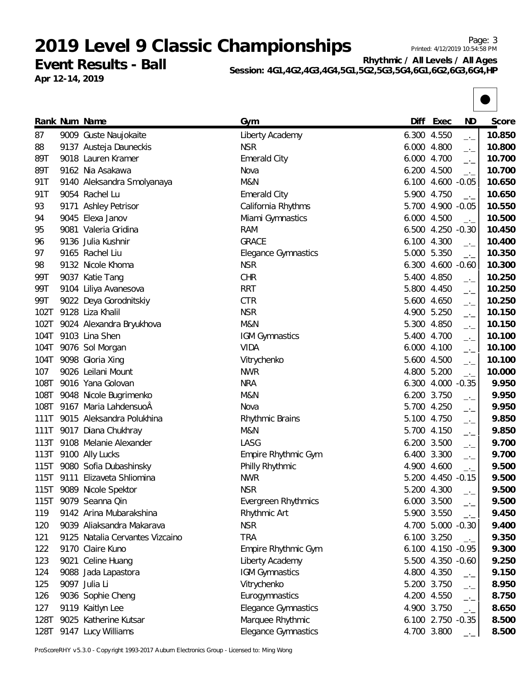**Event Results - Ball Apr 12-14, 2019**

**Rhythmic / All Levels / All Ages Session: 4G1,4G2,4G3,4G4,5G1,5G2,5G3,5G4,6G1,6G2,6G3,6G4,HP**



|      | Rank Num Name                   | Gym                        | Diff  | Exec              | ND                       | Score  |
|------|---------------------------------|----------------------------|-------|-------------------|--------------------------|--------|
| 87   | 9009 Guste Naujokaite           | Liberty Academy            | 6.300 | 4.550             | $-1$                     | 10.850 |
| 88   | 9137 Austeja Dauneckis          | <b>NSR</b>                 |       | 6.000 4.800       | $-1$                     | 10.800 |
| 89T  | 9018 Lauren Kramer              | <b>Emerald City</b>        |       | 6.000 4.700       | $-1$                     | 10.700 |
| 89T  | 9162 Nia Asakawa                | Nova                       |       | 6.200 4.500       | $\overline{\phantom{a}}$ | 10.700 |
| 91T  | 9140 Aleksandra Smolyanaya      | M&N                        |       | 6.100 4.600 -0.05 |                          | 10.650 |
| 91T  | 9054 Rachel Lu                  | <b>Emerald City</b>        |       | 5.900 4.750       | $\rightarrow$            | 10.650 |
| 93   | 9171 Ashley Petrisor            | California Rhythms         | 5.700 | 4.900             | $-0.05$                  | 10.550 |
| 94   | 9045 Elexa Janov                | Miami Gymnastics           |       | 6.000 4.500       | $-1$                     | 10.500 |
| 95   | 9081 Valeria Gridina            | <b>RAM</b>                 |       | 6.500 4.250       | $-0.30$                  | 10.450 |
| 96   | 9136 Julia Kushnir              | <b>GRACE</b>               |       | 6.100 4.300       | $-1$                     | 10.400 |
| 97   | 9165 Rachel Liu                 | <b>Elegance Gymnastics</b> | 5.000 | 5.350             | $-1$                     | 10.350 |
| 98   | 9132 Nicole Khoma               | <b>NSR</b>                 |       | 6.300 4.600 -0.60 |                          | 10.300 |
| 99T  | 9037 Katie Tang                 | <b>CHR</b>                 |       | 5.400 4.850       | $-1$                     | 10.250 |
| 99T  | 9104 Liliya Avanesova           | <b>RRT</b>                 | 5.800 | 4.450             | $-1$                     | 10.250 |
| 99T  | 9022 Deya Gorodnitskiy          | <b>CTR</b>                 |       | 5.600 4.650       | $-1$                     | 10.250 |
| 102T | 9128 Liza Khalil                | <b>NSR</b>                 |       | 4.900 5.250       | $-1$                     | 10.150 |
| 102T | 9024 Alexandra Bryukhova        | M&N                        |       | 5.300 4.850       | $-1$                     | 10.150 |
| 104T | 9103 Lina Shen                  | IGM Gymnastics             |       | 5.400 4.700       | $-1$                     | 10.100 |
| 104T | 9076 Sol Morgan                 | <b>VIDA</b>                | 6.000 | 4.100             | $\rightarrow$            | 10.100 |
| 104T | 9098 Gloria Xing                | Vitrychenko                |       | 5.600 4.500       | $-1$                     | 10.100 |
| 107  | 9026 Leilani Mount              | <b>NWR</b>                 | 4.800 | 5.200             | $-1$                     | 10.000 |
| 108T | 9016 Yana Golovan               | <b>NRA</b>                 | 6.300 | 4.000             | $-0.35$                  | 9.950  |
| 108T | 9048 Nicole Bugrimenko          | M&N                        |       | 6.200 3.750       | $-1$                     | 9.950  |
| 108T | 9167 Maria LahdensuoÂ           | Nova                       |       | 5.700 4.250       | $-1$                     | 9.950  |
| 111T | 9015 Aleksandra Polukhina       | Rhythmic Brains            |       | 5.100 4.750       | $-1$                     | 9.850  |
| 111T | 9017 Diana Chukhray             | M&N                        |       | 5.700 4.150       | $-1$                     | 9.850  |
| 113T | 9108 Melanie Alexander          | LASG                       |       | 6.200 3.500       | $-1$                     | 9.700  |
| 113T | 9100 Ally Lucks                 | Empire Rhythmic Gym        | 6.400 | 3.300             | $-1$                     | 9.700  |
| 115T | 9080 Sofia Dubashinsky          | Philly Rhythmic            |       | 4.900 4.600       | $-1$                     | 9.500  |
| 115T | 9111 Elizaveta Shliomina        | <b>NWR</b>                 | 5.200 | 4.450             | $-0.15$                  | 9.500  |
| 115T | 9089 Nicole Spektor             | <b>NSR</b>                 |       | 5.200 4.300       | —'—                      | 9.500  |
|      | 115T 9079 Seanna Qin            | Evergreen Rhythmics        |       | 6.000 3.500       | -'-                      | 9.500  |
| 119  | 9142 Arina Mubarakshina         | Rhythmic Art               |       | 5.900 3.550       |                          | 9.450  |
| 120  | 9039 Aliaksandra Makarava       | <b>NSR</b>                 |       | 4.700 5.000 -0.30 |                          | 9.400  |
| 121  | 9125 Natalia Cervantes Vizcaino | <b>TRA</b>                 |       | 6.100 3.250       |                          | 9.350  |
| 122  | 9170 Claire Kuno                | Empire Rhythmic Gym        |       | 6.100 4.150 -0.95 |                          | 9.300  |
| 123  | 9021 Celine Huang               | Liberty Academy            |       | 5.500 4.350 -0.60 |                          | 9.250  |
| 124  | 9088 Jada Lapastora             | <b>IGM Gymnastics</b>      |       | 4.800 4.350       | $-1$                     | 9.150  |
| 125  | 9097 Julia Li                   | Vitrychenko                |       | 5.200 3.750       | —'—                      | 8.950  |
| 126  | 9036 Sophie Cheng               | Eurogymnastics             |       | 4.200 4.550       |                          | 8.750  |
| 127  | 9119 Kaitlyn Lee                | Elegance Gymnastics        |       | 4.900 3.750       |                          | 8.650  |
| 128T | 9025 Katherine Kutsar           | Marquee Rhythmic           |       | 6.100 2.750 -0.35 |                          | 8.500  |
| 128T | 9147 Lucy Williams              | Elegance Gymnastics        |       | 4.700 3.800       |                          | 8.500  |

ProScoreRHY v5.3.0 - Copyright 1993-2017 Auburn Electronics Group - Licensed to: Ming Wong

## Page: 3 Printed: 4/12/2019 10:54:58 PM